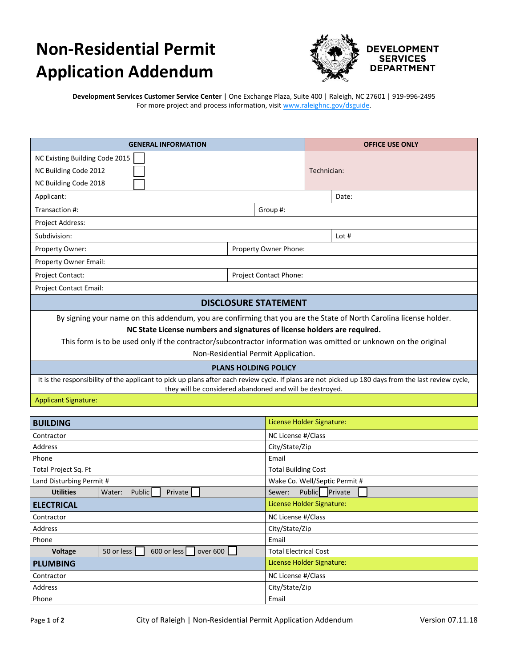## **Non-Residential Permit Application Addendum**



**Development Services Customer Service Center** | One Exchange Plaza, Suite 400 | Raleigh, NC 27601 | 919-996-2495 For more project and process information, visit www.raleighnc.gov/dsguide.

| <b>GENERAL INFORMATION</b>                                                                                                                                                                                      |                               | <b>OFFICE USE ONLY</b> |         |  |
|-----------------------------------------------------------------------------------------------------------------------------------------------------------------------------------------------------------------|-------------------------------|------------------------|---------|--|
| NC Existing Building Code 2015                                                                                                                                                                                  |                               |                        |         |  |
| NC Building Code 2012                                                                                                                                                                                           |                               | Technician:            |         |  |
| NC Building Code 2018                                                                                                                                                                                           |                               |                        |         |  |
| Applicant:                                                                                                                                                                                                      |                               |                        | Date:   |  |
| Transaction #:<br>Group #:                                                                                                                                                                                      |                               |                        |         |  |
| Project Address:                                                                                                                                                                                                |                               |                        |         |  |
| Subdivision:                                                                                                                                                                                                    |                               |                        | Lot $#$ |  |
| Property Owner:                                                                                                                                                                                                 | Property Owner Phone:         |                        |         |  |
| Property Owner Email:                                                                                                                                                                                           |                               |                        |         |  |
| <b>Project Contact:</b>                                                                                                                                                                                         | <b>Project Contact Phone:</b> |                        |         |  |
| <b>Project Contact Email:</b>                                                                                                                                                                                   |                               |                        |         |  |
| <b>DISCLOSURE STATEMENT</b>                                                                                                                                                                                     |                               |                        |         |  |
| By signing your name on this addendum, you are confirming that you are the State of North Carolina license holder.                                                                                              |                               |                        |         |  |
| NC State License numbers and signatures of license holders are required.                                                                                                                                        |                               |                        |         |  |
| This form is to be used only if the contractor/subcontractor information was omitted or unknown on the original                                                                                                 |                               |                        |         |  |
| Non-Residential Permit Application.                                                                                                                                                                             |                               |                        |         |  |
| <b>PLANS HOLDING POLICY</b>                                                                                                                                                                                     |                               |                        |         |  |
| It is the responsibility of the applicant to pick up plans after each review cycle. If plans are not picked up 180 days from the last review cycle,<br>they will be considered abandoned and will be destroyed. |                               |                        |         |  |

## Applicant Signature:

| <b>BUILDING</b>          |                                       | License Holder Signature:     |  |  |
|--------------------------|---------------------------------------|-------------------------------|--|--|
| Contractor               |                                       | NC License #/Class            |  |  |
| Address                  |                                       | City/State/Zip                |  |  |
| Phone                    |                                       | Email                         |  |  |
| Total Project Sq. Ft     |                                       | <b>Total Building Cost</b>    |  |  |
| Land Disturbing Permit # |                                       | Wake Co. Well/Septic Permit # |  |  |
| <b>Utilities</b>         | <b>Public</b><br>Private  <br>Water:  | Public Private<br>Sewer:      |  |  |
| <b>ELECTRICAL</b>        |                                       | License Holder Signature:     |  |  |
| Contractor               |                                       | NC License #/Class            |  |  |
| Address                  |                                       | City/State/Zip                |  |  |
| Phone                    |                                       | Email                         |  |  |
| Voltage                  | 600 or less<br>over 600<br>50 or less | <b>Total Electrical Cost</b>  |  |  |
| <b>PLUMBING</b>          |                                       | License Holder Signature:     |  |  |
| Contractor               |                                       | NC License #/Class            |  |  |
| Address                  |                                       | City/State/Zip                |  |  |
| Phone                    |                                       | Email                         |  |  |